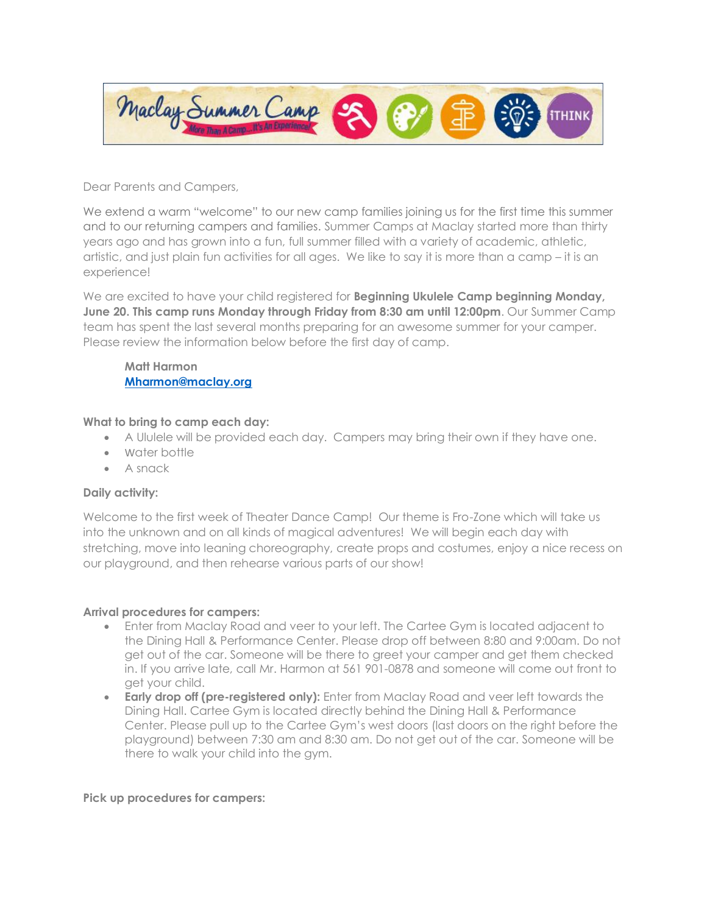

Dear Parents and Campers,

We extend a warm "welcome" to our new camp families joining us for the first time this summer and to our returning campers and families. Summer Camps at Maclay started more than thirty years ago and has grown into a fun, full summer filled with a variety of academic, athletic, artistic, and just plain fun activities for all ages. We like to say it is more than a camp – it is an experience!

We are excited to have your child registered for **Beginning Ukulele Camp beginning Monday, June 20. This camp runs Monday through Friday from 8:30 am until 12:00pm**. Our Summer Camp team has spent the last several months preparing for an awesome summer for your camper. Please review the information below before the first day of camp.

**Matt Harmon [Mharmon@maclay.org](mailto:Mharmon@maclay.org)**

### **What to bring to camp each day:**

- A Ululele will be provided each day. Campers may bring their own if they have one.
- Water bottle
- A snack

## **Daily activity:**

Welcome to the first week of Theater Dance Camp! Our theme is Fro-Zone which will take us into the unknown and on all kinds of magical adventures! We will begin each day with stretching, move into leaning choreography, create props and costumes, enjoy a nice recess on our playground, and then rehearse various parts of our show!

### **Arrival procedures for campers:**

- Enter from Maclay Road and veer to your left. The Cartee Gym is located adjacent to the Dining Hall & Performance Center. Please drop off between 8:80 and 9:00am. Do not get out of the car. Someone will be there to greet your camper and get them checked in. If you arrive late, call Mr. Harmon at 561 901-0878 and someone will come out front to get your child.
- **Early drop off (pre-registered only):** Enter from Maclay Road and veer left towards the Dining Hall. Cartee Gym is located directly behind the Dining Hall & Performance Center. Please pull up to the Cartee Gym's west doors (last doors on the right before the playground) between 7:30 am and 8:30 am. Do not get out of the car. Someone will be there to walk your child into the gym.

#### **Pick up procedures for campers:**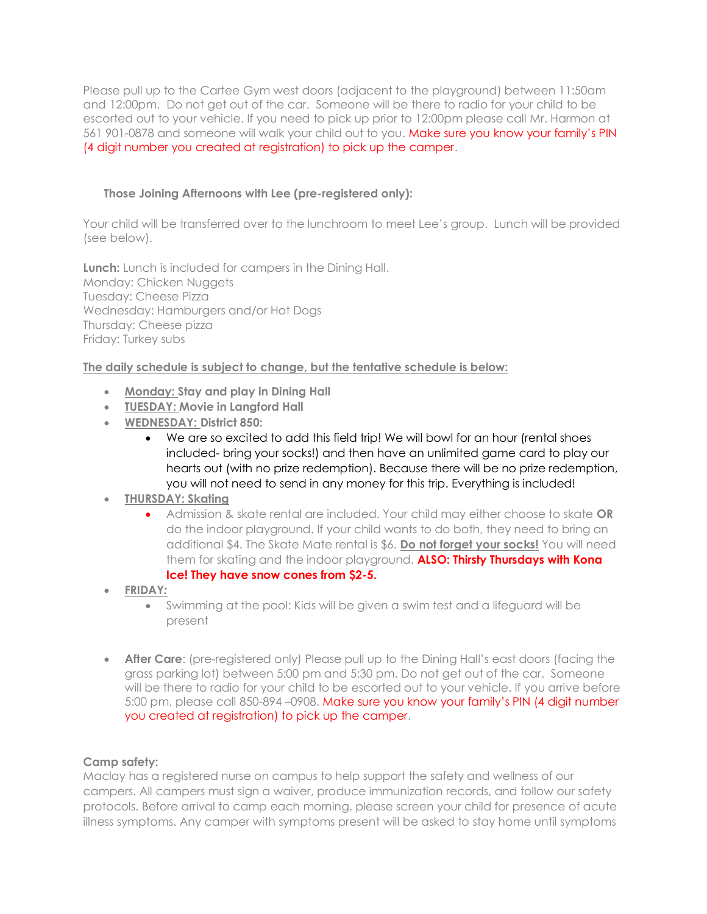Please pull up to the Cartee Gym west doors (adjacent to the playground) between 11:50am and 12:00pm. Do not get out of the car. Someone will be there to radio for your child to be escorted out to your vehicle. If you need to pick up prior to 12:00pm please call Mr. Harmon at 561 901-0878 and someone will walk your child out to you. Make sure you know your family's PIN (4 digit number you created at registration) to pick up the camper.

## **Those Joining Afternoons with Lee (pre-registered only):**

Your child will be transferred over to the lunchroom to meet Lee's group. Lunch will be provided (see below).

**Lunch:** Lunch is included for campers in the Dining Hall. Monday: Chicken Nuggets Tuesday: Cheese Pizza Wednesday: Hamburgers and/or Hot Dogs Thursday: Cheese pizza Friday: Turkey subs

## **The daily schedule is subject to change, but the tentative schedule is below:**

- **Monday: Stay and play in Dining Hall**
- **TUESDAY: Movie in Langford Hall**
- **WEDNESDAY: District 850:**
	- We are so excited to add this field trip! We will bowl for an hour (rental shoes included- bring your socks!) and then have an unlimited game card to play our hearts out (with no prize redemption). Because there will be no prize redemption, you will not need to send in any money for this trip. Everything is included!

# • **THURSDAY: Skating**

- Admission & skate rental are included. Your child may either choose to skate **OR** do the indoor playground. If your child wants to do both, they need to bring an additional \$4. The Skate Mate rental is \$6. **Do not forget your socks!** You will need them for skating and the indoor playground. **ALSO: Thirsty Thursdays with Kona Ice! They have snow cones from \$2-5.**
- **FRIDAY***:*
	- Swimming at the pool: Kids will be given a swim test and a lifeguard will be present
- **After Care**: (pre-registered only) Please pull up to the Dining Hall's east doors (facing the grass parking lot) between 5:00 pm and 5:30 pm. Do not get out of the car. Someone will be there to radio for your child to be escorted out to your vehicle. If you arrive before 5:00 pm, please call 850-894 –0908. Make sure you know your family's PIN (4 digit number you created at registration) to pick up the camper.

### **Camp safety:**

Maclay has a registered nurse on campus to help support the safety and wellness of our campers. All campers must sign a waiver, produce immunization records, and follow our safety protocols. Before arrival to camp each morning, please screen your child for presence of acute illness symptoms. Any camper with symptoms present will be asked to stay home until symptoms